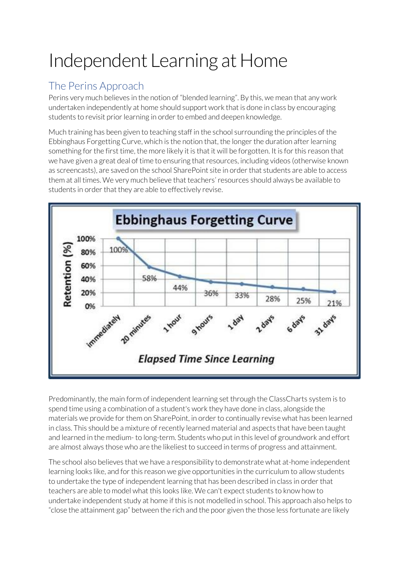# Independent Learning at Home

## The Perins Approach

Perins very much believes in the notion of "blended learning". By this, we mean that any work undertaken independently at home should support work that is done in class by encouraging students to revisit prior learning in order to embed and deepen knowledge.

Much training has been given to teaching staff in the school surrounding the principles of the Ebbinghaus Forgetting Curve, which is the notion that, the longer the duration after learning something for the first time, the more likely it is that it will be forgotten. It is for this reason that we have given a great deal of time to ensuring that resources, including videos (otherwise known as screencasts), are saved on the school SharePoint site in order that students are able to access them at all times. We very much believe that teachers' resources should always be available to students in order that they are able to effectively revise.



Predominantly, the main form of independent learning set through the ClassCharts system is to spend time using a combination of a student's work they have done in class, alongside the materials we provide for them on SharePoint, in order to continually revise what has been learned in class. This should be a mixture of recently learned material and aspects that have been taught and learned in the medium- to long-term. Students who put in this level of groundwork and effort are almost always those who are the likeliest to succeed in terms of progress and attainment.

The school also believes that we have a responsibility to demonstrate what at-home independent learning looks like, and for this reason we give opportunities in the curriculum to allow students to undertake the type of independent learning that has been described in class in order that teachers are able to model what this looks like. We can't expect students to know how to undertake independent study at home if this is not modelled in school. This approach also helps to "close the attainment gap" between the rich and the poor given the those less fortunate are likely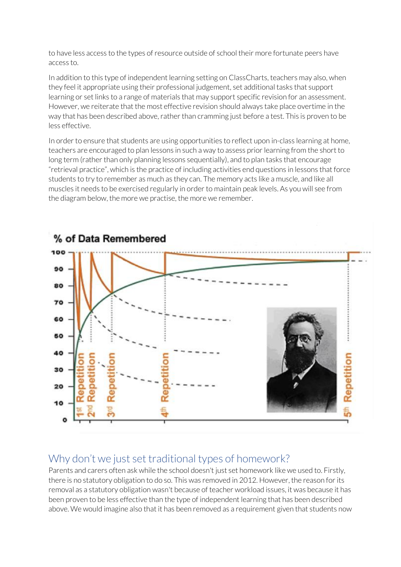to have less access to the types of resource outside of school their more fortunate peers have access to.

In addition to this type of independent learning setting on ClassCharts, teachers may also, when they feel it appropriate using their professional judgement, set additional tasks that support learning or set links to a range of materials that may support specific revision for an assessment. However, we reiterate that the most effective revision should always take place overtime in the way that has been described above, rather than cramming just before a test. This is proven to be less effective.

In order to ensure that students are using opportunities to reflect upon in-class learning at home, teachers are encouraged to plan lessons in such a way to assess prior learning from the short to long term (rather than only planning lessons sequentially), and to plan tasks that encourage "retrieval practice", which is the practice of including activities end questions in lessons that force students to try to remember as much as they can. The memory acts like a muscle, and like all muscles it needs to be exercised regularly in order to maintain peak levels. As you will see from the diagram below, the more we practise, the more we remember.



#### Why don't we just set traditional types of homework?

Parents and carers often ask while the school doesn't just set homework like we used to. Firstly, there is no statutory obligation to do so. This was removed in 2012. However, the reason for its removal as a statutory obligation wasn't because of teacher workload issues, it was because it has been proven to be less effective than the type of independent learning that has been described above. We would imagine also that it has been removed as a requirement given that students now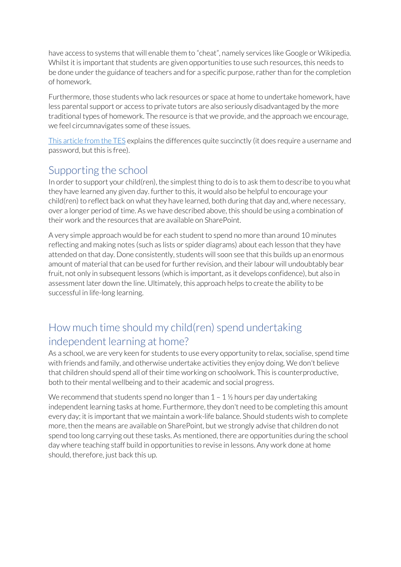have access to systems that will enable them to "cheat", namely services like Google or Wikipedia. Whilst it is important that students are given opportunities to use such resources, this needs to be done under the guidance of teachers and for a specific purpose, rather than for the completion of homework.

Furthermore, those students who lack resources or space at home to undertake homework, have less parental support or access to private tutors are also seriously disadvantaged by the more traditional types of homework. The resource is that we provide, and the approach we encourage, we feel circumnavigates some of these issues.

[This article from the TES](https://www.tes.com/news/how-stop-homework-being-stuck-past-schools-retrieval-practice) explains the differences quite succinctly (it does require a username and password, but this is free).

#### Supporting the school

In order to support your child(ren), the simplest thing to do is to ask them to describe to you what they have learned any given day. further to this, it would also be helpful to encourage your child(ren) to reflect back on what they have learned, both during that day and, where necessary, over a longer period of time. As we have described above, this should be using a combination of their work and the resources that are available on SharePoint.

A very simple approach would be for each student to spend no more than around 10 minutes reflecting and making notes (such as lists or spider diagrams) about each lesson that they have attended on that day. Done consistently, students will soon see that this builds up an enormous amount of material that can be used for further revision, and their labour will undoubtably bear fruit, not only in subsequent lessons (which is important, as it develops confidence), but also in assessment later down the line. Ultimately, this approach helps to create the ability to be successful in life-long learning.

#### How much time should my child(ren) spend undertaking independent learning at home?

As a school, we are very keen for students to use every opportunity to relax, socialise, spend time with friends and family, and otherwise undertake activities they enjoy doing. We don't believe that children should spend all of their time working on schoolwork. This is counterproductive, both to their mental wellbeing and to their academic and social progress.

We recommend that students spend no longer than  $1 - 1 \frac{1}{2}$  hours per day undertaking independent learning tasks at home. Furthermore, they don't need to be completing this amount every day; it is important that we maintain a work-life balance. Should students wish to complete more, then the means are available on SharePoint, but we strongly advise that children do not spend too long carrying out these tasks. As mentioned, there are opportunities during the school day where teaching staff build in opportunities to revise in lessons. Any work done at home should, therefore, just back this up.